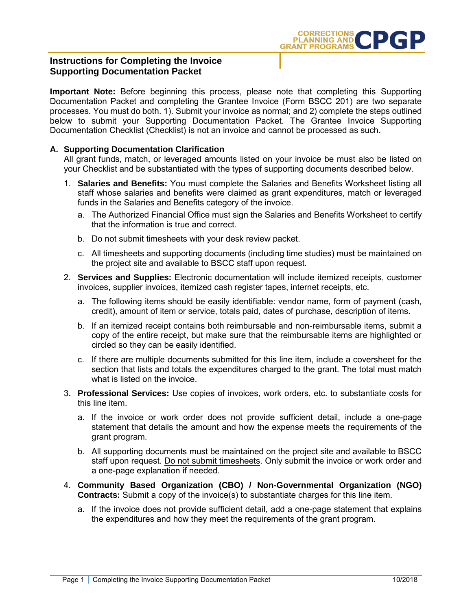

## **Instructions for Completing the Invoice Supporting Documentation Packet**

**Important Note:** Before beginning this process, please note that completing this Supporting Documentation Packet and completing the Grantee Invoice (Form BSCC 201) are two separate processes. You must do both. 1). Submit your invoice as normal; and 2) complete the steps outlined below to submit your Supporting Documentation Packet. The Grantee Invoice Supporting Documentation Checklist (Checklist) is not an invoice and cannot be processed as such.

### **A. Supporting Documentation Clarification**

All grant funds, match, or leveraged amounts listed on your invoice be must also be listed on your Checklist and be substantiated with the types of supporting documents described below.

- 1. **Salaries and Benefits:** You must complete the Salaries and Benefits Worksheet listing all staff whose salaries and benefits were claimed as grant expenditures, match or leveraged funds in the Salaries and Benefits category of the invoice.
	- a. The Authorized Financial Office must sign the Salaries and Benefits Worksheet to certify that the information is true and correct.
	- b. Do not submit timesheets with your desk review packet.
	- c. All timesheets and supporting documents (including time studies) must be maintained on the project site and available to BSCC staff upon request.
- 2. **Services and Supplies:** Electronic documentation will include itemized receipts, customer invoices, supplier invoices, itemized cash register tapes, internet receipts, etc.
	- a. The following items should be easily identifiable: vendor name, form of payment (cash, credit), amount of item or service, totals paid, dates of purchase, description of items.
	- b. If an itemized receipt contains both reimbursable and non-reimbursable items, submit a copy of the entire receipt, but make sure that the reimbursable items are highlighted or circled so they can be easily identified.
	- c. If there are multiple documents submitted for this line item, include a coversheet for the section that lists and totals the expenditures charged to the grant. The total must match what is listed on the invoice.
- 3. **Professional Services:** Use copies of invoices, work orders, etc. to substantiate costs for this line item.
	- a. If the invoice or work order does not provide sufficient detail, include a one-page statement that details the amount and how the expense meets the requirements of the grant program.
	- b. All supporting documents must be maintained on the project site and available to BSCC staff upon request. Do not submit timesheets. Only submit the invoice or work order and a one-page explanation if needed.
- 4. **Community Based Organization (CBO) / Non-Governmental Organization (NGO) Contracts:** Submit a copy of the invoice(s) to substantiate charges for this line item.
	- a. If the invoice does not provide sufficient detail, add a one-page statement that explains the expenditures and how they meet the requirements of the grant program.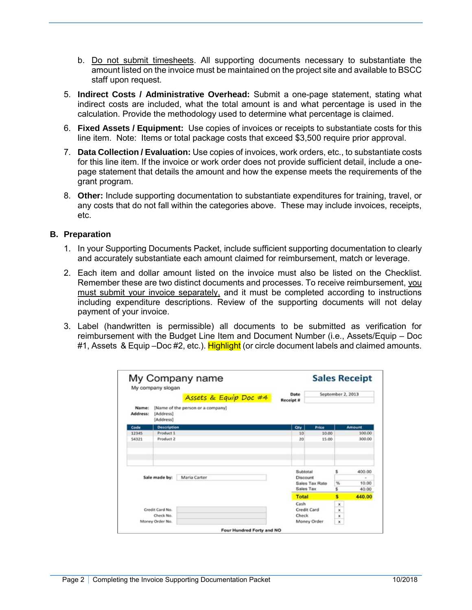- b. Do not submit timesheets. All supporting documents necessary to substantiate the amount listed on the invoice must be maintained on the project site and available to BSCC staff upon request.
- 5. **Indirect Costs / Administrative Overhead:** Submit a one-page statement, stating what indirect costs are included, what the total amount is and what percentage is used in the calculation. Provide the methodology used to determine what percentage is claimed.
- 6. **Fixed Assets / Equipment:** Use copies of invoices or receipts to substantiate costs for this line item. Note: Items or total package costs that exceed \$3,500 require prior approval.
- 7. **Data Collection / Evaluation:** Use copies of invoices, work orders, etc., to substantiate costs for this line item. If the invoice or work order does not provide sufficient detail, include a onepage statement that details the amount and how the expense meets the requirements of the grant program.
- 8. **Other:** Include supporting documentation to substantiate expenditures for training, travel, or any costs that do not fall within the categories above. These may include invoices, receipts, etc.

### **B. Preparation**

- 1. In your Supporting Documents Packet, include sufficient supporting documentation to clearly and accurately substantiate each amount claimed for reimbursement, match or leverage.
- 2. Each item and dollar amount listed on the invoice must also be listed on the Checklist. Remember these are two distinct documents and processes. To receive reimbursement, you must submit your invoice separately, and it must be completed according to instructions including expenditure descriptions. Review of the supporting documents will not delay payment of your invoice.
- 3. Label (handwritten is permissible) all documents to be submitted as verification for reimbursement with the Budget Line Item and Document Number (i.e., Assets/Equip – Doc #1, Assets & Equip –Doc #2, etc.). Highlight (or circle document labels and claimed amounts.

|                          |                |                           | <b>Sales Receipt</b> |
|--------------------------|----------------|---------------------------|----------------------|
| Date<br><b>Receipt #</b> |                | September 2, 2013         |                      |
|                          |                |                           |                      |
| Qty                      | Price          |                           | <b>Amount</b>        |
| 10                       | 10.00          |                           | 100.00               |
| 20                       | 15.00          |                           | 300.00               |
| Subtotal                 |                | s                         | 400.00               |
| Discount                 |                |                           |                      |
| Sales Tax                | Sales Tax Rate | %                         | 10.00                |
|                          |                | s                         | 40.00                |
| <b>Total</b>             |                | s                         | 440.00               |
| Cash                     |                | ×                         |                      |
| Credit Card              |                | $\boldsymbol{\mathsf{x}}$ |                      |
| Check                    |                | ×                         |                      |
|                          |                | $\mathbf x$               |                      |
|                          |                | Money Order               |                      |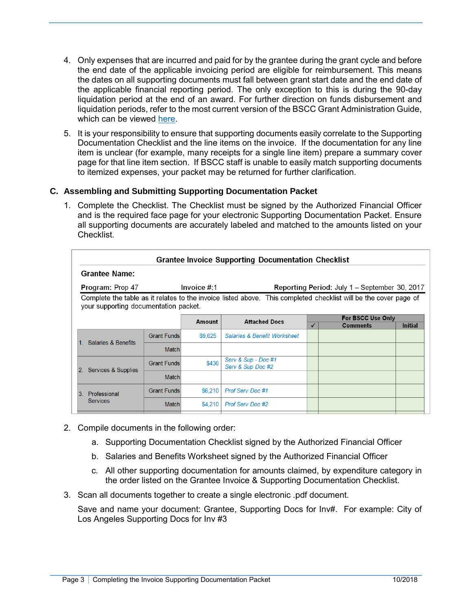- 4. Only expenses that are incurred and paid for by the grantee during the grant cycle and before the end date of the applicable invoicing period are eligible for reimbursement. This means the dates on all supporting documents must fall between grant start date and the end date of the applicable financial reporting period. The only exception to this is during the 90-day liquidation period at the end of an award. For further direction on funds disbursement and liquidation periods, refer to the most current version of the BSCC Grant Administration Guide, which can be viewed [here.](http://www.bscc.ca.gov/s_correctionsplanningandprograms.php)
- 5. It is your responsibility to ensure that supporting documents easily correlate to the Supporting Documentation Checklist and the line items on the invoice. If the documentation for any line item is unclear (for example, many receipts for a single line item) prepare a summary cover page for that line item section. If BSCC staff is unable to easily match supporting documents to itemized expenses, your packet may be returned for further clarification.

# **C. Assembling and Submitting Supporting Documentation Packet**

1. Complete the Checklist. The Checklist must be signed by the Authorized Financial Officer and is the required face page for your electronic Supporting Documentation Packet. Ensure all supporting documents are accurately labeled and matched to the amounts listed on your Checklist.

| <b>Grantee Name:</b>                                                             |                    |         | <b>Grantee Invoice Supporting Documentation Checklist</b>                                                        |   |                   |                |  |  |
|----------------------------------------------------------------------------------|--------------------|---------|------------------------------------------------------------------------------------------------------------------|---|-------------------|----------------|--|--|
| Invoice # 1<br>Program: Prop 47<br>Reporting Period: July 1 – September 30, 2017 |                    |         |                                                                                                                  |   |                   |                |  |  |
| your supporting documentation packet.                                            |                    |         | Complete the table as it relates to the invoice listed above. This completed checklist will be the cover page of |   |                   |                |  |  |
|                                                                                  |                    | Amount  | <b>Attached Docs</b>                                                                                             |   | For BSCC Use Only |                |  |  |
|                                                                                  |                    |         |                                                                                                                  | ✓ | <b>Comments</b>   | <b>Initial</b> |  |  |
|                                                                                  | <b>Grant Funds</b> | \$9,625 | <b>Salaries &amp; Benefit Worksheet</b>                                                                          |   |                   |                |  |  |
| 1. Salaries & Benefits                                                           | <b>Match</b>       |         |                                                                                                                  |   |                   |                |  |  |
| 2. Services & Supplies                                                           | <b>Grant Funds</b> | \$436   | Serv & Sup - Doc #1<br>Serv & Sup Doc #2                                                                         |   |                   |                |  |  |
|                                                                                  | <b>Match</b>       |         |                                                                                                                  |   |                   |                |  |  |
| 3.<br>Professional                                                               | <b>Grant Funds</b> | \$6,210 | <b>Prof Serv Doc #1</b>                                                                                          |   |                   |                |  |  |
| <b>Services</b>                                                                  | <b>Match</b>       | \$4,210 | <b>Prof Serv Doc #2</b>                                                                                          |   |                   |                |  |  |
|                                                                                  |                    |         |                                                                                                                  |   |                   |                |  |  |

- 2. Compile documents in the following order:
	- a. Supporting Documentation Checklist signed by the Authorized Financial Officer
	- b. Salaries and Benefits Worksheet signed by the Authorized Financial Officer
	- c. All other supporting documentation for amounts claimed, by expenditure category in the order listed on the Grantee Invoice & Supporting Documentation Checklist.
- 3. Scan all documents together to create a single electronic .pdf document.

Save and name your document: Grantee, Supporting Docs for Inv#. For example: City of Los Angeles Supporting Docs for Inv #3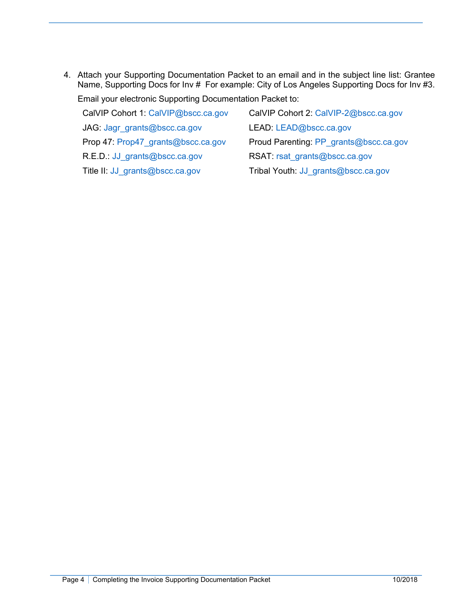4. Attach your Supporting Documentation Packet to an email and in the subject line list: Grantee Name, Supporting Docs for Inv # For example: City of Los Angeles Supporting Docs for Inv #3. Email your electronic Supporting Documentation Packet to:

| CalVIP Cohort 1: CalVIP@bscc.ca.gov | CalVIP Cohort 2: CalVIP-2@bscc.ca.gov  |
|-------------------------------------|----------------------------------------|
| JAG: Jagr grants@bscc.ca.gov        | LEAD: LEAD@bscc.ca.gov                 |
| Prop 47: Prop47 grants@bscc.ca.gov  | Proud Parenting: PP grants@bscc.ca.gov |
| R.E.D.: JJ grants@bscc.ca.gov       | RSAT: rsat grants@bscc.ca.gov          |
| Title II: JJ_grants@bscc.ca.gov     | Tribal Youth: JJ_grants@bscc.ca.gov    |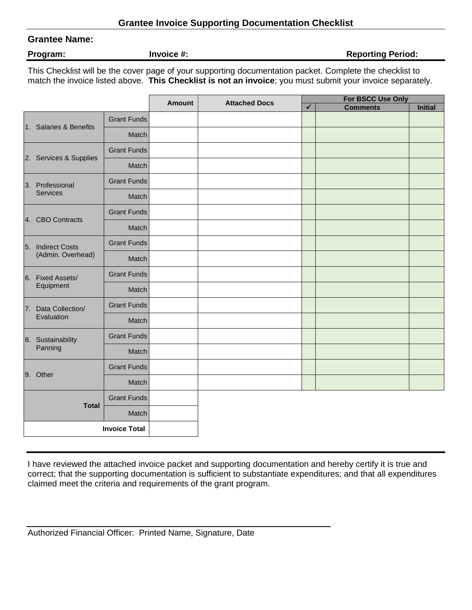### **Grantee Name:**

**Program: Invoice #: Invoice #: Reporting Period: Reporting Period: Reporting Period:** 

This Checklist will be the cover page of your supporting documentation packet. Complete the checklist to match the invoice listed above. **This Checklist is not an invoice**; you must submit your invoice separately.

|                      |                        |                    | Amount | <b>Attached Docs</b> | For BSCC Use Only |                 |                |  |  |
|----------------------|------------------------|--------------------|--------|----------------------|-------------------|-----------------|----------------|--|--|
|                      |                        |                    |        |                      | $\checkmark$      | <b>Comments</b> | <b>Initial</b> |  |  |
|                      | 1. Salaries & Benefits | <b>Grant Funds</b> |        |                      |                   |                 |                |  |  |
|                      |                        | Match              |        |                      |                   |                 |                |  |  |
|                      |                        | <b>Grant Funds</b> |        |                      |                   |                 |                |  |  |
|                      | 2. Services & Supplies | Match              |        |                      |                   |                 |                |  |  |
|                      | 3. Professional        | <b>Grant Funds</b> |        |                      |                   |                 |                |  |  |
|                      | Services               | Match              |        |                      |                   |                 |                |  |  |
|                      |                        | <b>Grant Funds</b> |        |                      |                   |                 |                |  |  |
|                      | 4. CBO Contracts       | Match              |        |                      |                   |                 |                |  |  |
|                      | 5. Indirect Costs      | <b>Grant Funds</b> |        |                      |                   |                 |                |  |  |
|                      | (Admin. Overhead)      | Match              |        |                      |                   |                 |                |  |  |
|                      | 6. Fixed Assets/       | <b>Grant Funds</b> |        |                      |                   |                 |                |  |  |
|                      | Equipment              | Match              |        |                      |                   |                 |                |  |  |
|                      | 7. Data Collection/    | <b>Grant Funds</b> |        |                      |                   |                 |                |  |  |
|                      | Evaluation             | Match              |        |                      |                   |                 |                |  |  |
|                      | 8. Sustainability      | <b>Grant Funds</b> |        |                      |                   |                 |                |  |  |
|                      | Panning                | Match              |        |                      |                   |                 |                |  |  |
|                      | 9. Other               | <b>Grant Funds</b> |        |                      |                   |                 |                |  |  |
|                      |                        | Match              |        |                      |                   |                 |                |  |  |
|                      | <b>Total</b>           | <b>Grant Funds</b> |        |                      |                   |                 |                |  |  |
|                      |                        | Match              |        |                      |                   |                 |                |  |  |
| <b>Invoice Total</b> |                        |                    |        |                      |                   |                 |                |  |  |

I have reviewed the attached invoice packet and supporting documentation and hereby certify it is true and correct; that the supporting documentation is sufficient to substantiate expenditures; and that all expenditures claimed meet the criteria and requirements of the grant program.

| Authorized Financial Officer: Printed Name, Signature, Date |  |  |  |
|-------------------------------------------------------------|--|--|--|
|-------------------------------------------------------------|--|--|--|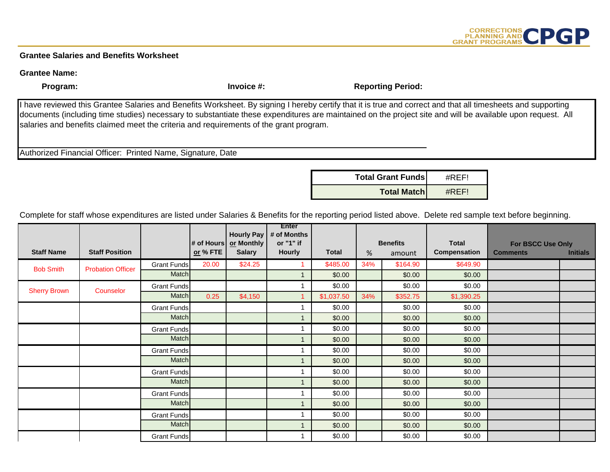# CORRECTIONS<br>
PLANNING AND<br>
GRANT PROGRAMS
CPGP

#### **Grantee Salaries and Benefits Worksheet**

#### **Grantee Name:**

**Program: Invoice #: Invoice #: Reporting Period: Program: Invoice #: Reporting Period:** 

I have reviewed this Grantee Salaries and Benefits Worksheet. By signing I hereby certify that it is true and correct and that all timesheets and supporting documents (including time studies) necessary to substantiate these expenditures are maintained on the project site and will be available upon request. All salaries and benefits claimed meet the criteria and requirements of the grant program.

Authorized Financial Officer: Printed Name, Signature, Date



Complete for staff whose expenditures are listed under Salaries & Benefits for the reporting period listed above. Delete red sample text before beginning.

|                     |                          |                    |          | <b>Hourly Pay</b><br># of Hours   or Monthly | <b>Enter</b><br># of Months<br>or "1" if |              | <b>Benefits</b> |          | <b>Total</b> | For BSCC Use Only |                 |
|---------------------|--------------------------|--------------------|----------|----------------------------------------------|------------------------------------------|--------------|-----------------|----------|--------------|-------------------|-----------------|
| <b>Staff Name</b>   | <b>Staff Position</b>    |                    | or % FTE | <b>Salary</b>                                | <b>Hourly</b>                            | <b>Total</b> | %               | amount   | Compensation | <b>Comments</b>   | <b>Initials</b> |
| <b>Bob Smith</b>    | <b>Probation Officer</b> | <b>Grant Funds</b> | 20.00    | \$24.25                                      |                                          | \$485.00     | 34%             | \$164.90 | \$649.90     |                   |                 |
|                     |                          | Match              |          |                                              |                                          | \$0.00       |                 | \$0.00   | \$0.00       |                   |                 |
| <b>Sherry Brown</b> | Counselor                | <b>Grant Funds</b> |          |                                              |                                          | \$0.00       |                 | \$0.00   | \$0.00       |                   |                 |
|                     |                          | Match              | 0.25     | \$4,150                                      |                                          | \$1,037.50   | 34%             | \$352.75 | \$1,390.25   |                   |                 |
|                     |                          | <b>Grant Funds</b> |          |                                              |                                          | \$0.00       |                 | \$0.00   | \$0.00       |                   |                 |
|                     |                          | Match              |          |                                              |                                          | \$0.00       |                 | \$0.00   | \$0.00       |                   |                 |
|                     |                          | <b>Grant Funds</b> |          |                                              |                                          | \$0.00       |                 | \$0.00   | \$0.00       |                   |                 |
|                     |                          | Match              |          |                                              |                                          | \$0.00       |                 | \$0.00   | \$0.00       |                   |                 |
|                     |                          | <b>Grant Funds</b> |          |                                              |                                          | \$0.00       |                 | \$0.00   | \$0.00       |                   |                 |
|                     |                          | Match              |          |                                              |                                          | \$0.00       |                 | \$0.00   | \$0.00       |                   |                 |
|                     |                          | <b>Grant Funds</b> |          |                                              |                                          | \$0.00       |                 | \$0.00   | \$0.00       |                   |                 |
|                     |                          | Match              |          |                                              |                                          | \$0.00       |                 | \$0.00   | \$0.00       |                   |                 |
|                     |                          | <b>Grant Funds</b> |          |                                              |                                          | \$0.00       |                 | \$0.00   | \$0.00       |                   |                 |
|                     |                          | Match              |          |                                              |                                          | \$0.00       |                 | \$0.00   | \$0.00       |                   |                 |
|                     |                          | <b>Grant Funds</b> |          |                                              |                                          | \$0.00       |                 | \$0.00   | \$0.00       |                   |                 |
|                     |                          | Match              |          |                                              |                                          | \$0.00       |                 | \$0.00   | \$0.00       |                   |                 |
|                     |                          | <b>Grant Funds</b> |          |                                              |                                          | \$0.00       |                 | \$0.00   | \$0.00       |                   |                 |